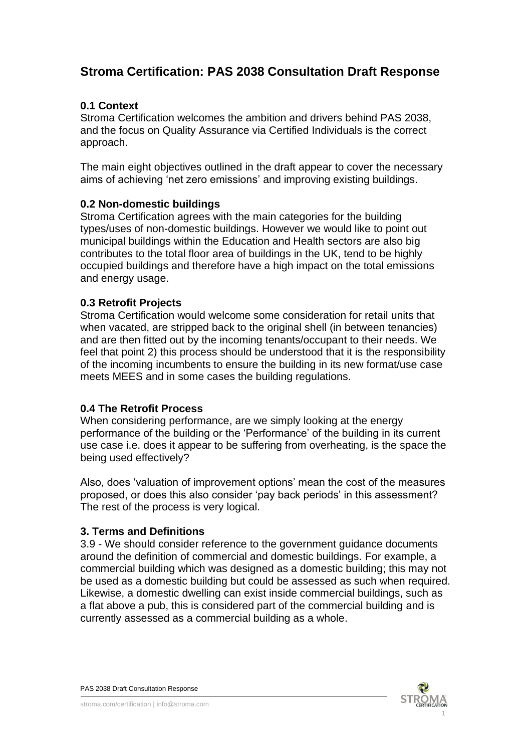# **Stroma Certification: PAS 2038 Consultation Draft Response**

# **0.1 Context**

Stroma Certification welcomes the ambition and drivers behind PAS 2038, and the focus on Quality Assurance via Certified Individuals is the correct approach.

The main eight objectives outlined in the draft appear to cover the necessary aims of achieving 'net zero emissions' and improving existing buildings.

## **0.2 Non-domestic buildings**

Stroma Certification agrees with the main categories for the building types/uses of non-domestic buildings. However we would like to point out municipal buildings within the Education and Health sectors are also big contributes to the total floor area of buildings in the UK, tend to be highly occupied buildings and therefore have a high impact on the total emissions and energy usage.

## **0.3 Retrofit Projects**

Stroma Certification would welcome some consideration for retail units that when vacated, are stripped back to the original shell (in between tenancies) and are then fitted out by the incoming tenants/occupant to their needs. We feel that point 2) this process should be understood that it is the responsibility of the incoming incumbents to ensure the building in its new format/use case meets MEES and in some cases the building regulations.

#### **0.4 The Retrofit Process**

When considering performance, are we simply looking at the energy performance of the building or the 'Performance' of the building in its current use case i.e. does it appear to be suffering from overheating, is the space the being used effectively?

Also, does 'valuation of improvement options' mean the cost of the measures proposed, or does this also consider 'pay back periods' in this assessment? The rest of the process is very logical.

#### **3. Terms and Definitions**

3.9 - We should consider reference to the government guidance documents around the definition of commercial and domestic buildings. For example, a commercial building which was designed as a domestic building; this may not be used as a domestic building but could be assessed as such when required. Likewise, a domestic dwelling can exist inside commercial buildings, such as a flat above a pub, this is considered part of the commercial building and is currently assessed as a commercial building as a whole.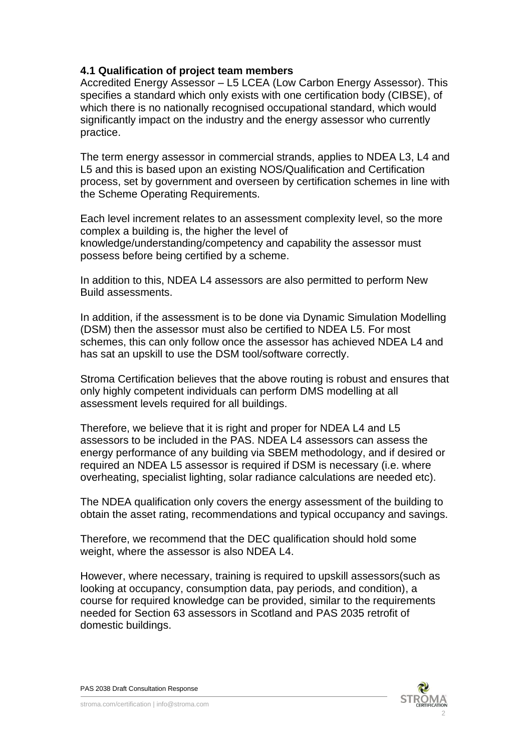## **4.1 Qualification of project team members**

Accredited Energy Assessor – L5 LCEA (Low Carbon Energy Assessor). This specifies a standard which only exists with one certification body (CIBSE), of which there is no nationally recognised occupational standard, which would significantly impact on the industry and the energy assessor who currently practice.

The term energy assessor in commercial strands, applies to NDEA L3, L4 and L5 and this is based upon an existing NOS/Qualification and Certification process, set by government and overseen by certification schemes in line with the Scheme Operating Requirements.

Each level increment relates to an assessment complexity level, so the more complex a building is, the higher the level of knowledge/understanding/competency and capability the assessor must possess before being certified by a scheme.

In addition to this, NDEA L4 assessors are also permitted to perform New Build assessments.

In addition, if the assessment is to be done via Dynamic Simulation Modelling (DSM) then the assessor must also be certified to NDEA L5. For most schemes, this can only follow once the assessor has achieved NDEA L4 and has sat an upskill to use the DSM tool/software correctly.

Stroma Certification believes that the above routing is robust and ensures that only highly competent individuals can perform DMS modelling at all assessment levels required for all buildings.

Therefore, we believe that it is right and proper for NDEA L4 and L5 assessors to be included in the PAS. NDEA L4 assessors can assess the energy performance of any building via SBEM methodology, and if desired or required an NDEA L5 assessor is required if DSM is necessary (i.e. where overheating, specialist lighting, solar radiance calculations are needed etc).

The NDEA qualification only covers the energy assessment of the building to obtain the asset rating, recommendations and typical occupancy and savings.

Therefore, we recommend that the DEC qualification should hold some weight, where the assessor is also NDEA L4.

However, where necessary, training is required to upskill assessors(such as looking at occupancy, consumption data, pay periods, and condition), a course for required knowledge can be provided, similar to the requirements needed for Section 63 assessors in Scotland and PAS 2035 retrofit of domestic buildings.

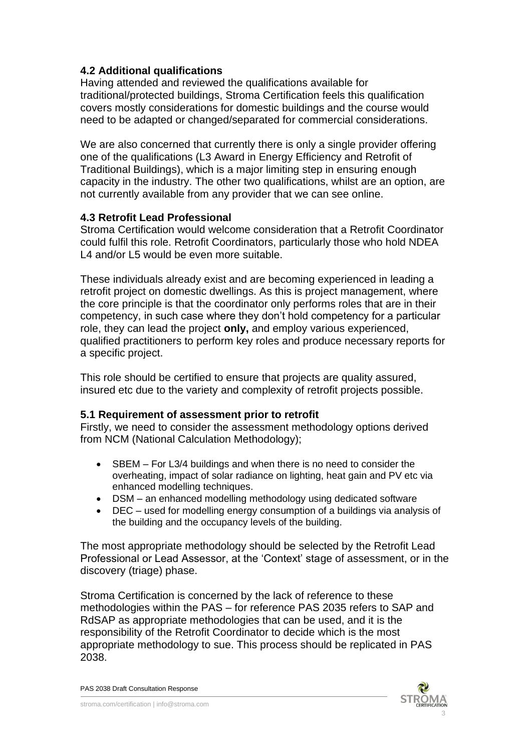# **4.2 Additional qualifications**

Having attended and reviewed the qualifications available for traditional/protected buildings, Stroma Certification feels this qualification covers mostly considerations for domestic buildings and the course would need to be adapted or changed/separated for commercial considerations.

We are also concerned that currently there is only a single provider offering one of the qualifications (L3 Award in Energy Efficiency and Retrofit of Traditional Buildings), which is a major limiting step in ensuring enough capacity in the industry. The other two qualifications, whilst are an option, are not currently available from any provider that we can see online.

# **4.3 Retrofit Lead Professional**

Stroma Certification would welcome consideration that a Retrofit Coordinator could fulfil this role. Retrofit Coordinators, particularly those who hold NDEA L4 and/or L5 would be even more suitable.

These individuals already exist and are becoming experienced in leading a retrofit project on domestic dwellings. As this is project management, where the core principle is that the coordinator only performs roles that are in their competency, in such case where they don't hold competency for a particular role, they can lead the project **only,** and employ various experienced, qualified practitioners to perform key roles and produce necessary reports for a specific project.

This role should be certified to ensure that projects are quality assured, insured etc due to the variety and complexity of retrofit projects possible.

# **5.1 Requirement of assessment prior to retrofit**

Firstly, we need to consider the assessment methodology options derived from NCM (National Calculation Methodology);

- SBEM For L3/4 buildings and when there is no need to consider the overheating, impact of solar radiance on lighting, heat gain and PV etc via enhanced modelling techniques.
- DSM an enhanced modelling methodology using dedicated software
- DEC used for modelling energy consumption of a buildings via analysis of the building and the occupancy levels of the building.

The most appropriate methodology should be selected by the Retrofit Lead Professional or Lead Assessor, at the 'Context' stage of assessment, or in the discovery (triage) phase.

Stroma Certification is concerned by the lack of reference to these methodologies within the PAS – for reference PAS 2035 refers to SAP and RdSAP as appropriate methodologies that can be used, and it is the responsibility of the Retrofit Coordinator to decide which is the most appropriate methodology to sue. This process should be replicated in PAS 2038.

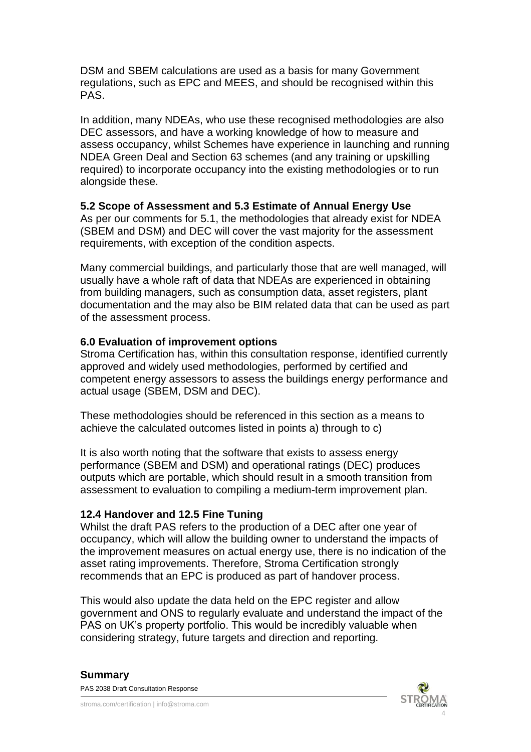DSM and SBEM calculations are used as a basis for many Government regulations, such as EPC and MEES, and should be recognised within this PAS.

In addition, many NDEAs, who use these recognised methodologies are also DEC assessors, and have a working knowledge of how to measure and assess occupancy, whilst Schemes have experience in launching and running NDEA Green Deal and Section 63 schemes (and any training or upskilling required) to incorporate occupancy into the existing methodologies or to run alongside these.

## **5.2 Scope of Assessment and 5.3 Estimate of Annual Energy Use**

As per our comments for 5.1, the methodologies that already exist for NDEA (SBEM and DSM) and DEC will cover the vast majority for the assessment requirements, with exception of the condition aspects.

Many commercial buildings, and particularly those that are well managed, will usually have a whole raft of data that NDEAs are experienced in obtaining from building managers, such as consumption data, asset registers, plant documentation and the may also be BIM related data that can be used as part of the assessment process.

## **6.0 Evaluation of improvement options**

Stroma Certification has, within this consultation response, identified currently approved and widely used methodologies, performed by certified and competent energy assessors to assess the buildings energy performance and actual usage (SBEM, DSM and DEC).

These methodologies should be referenced in this section as a means to achieve the calculated outcomes listed in points a) through to c)

It is also worth noting that the software that exists to assess energy performance (SBEM and DSM) and operational ratings (DEC) produces outputs which are portable, which should result in a smooth transition from assessment to evaluation to compiling a medium-term improvement plan.

#### **12.4 Handover and 12.5 Fine Tuning**

Whilst the draft PAS refers to the production of a DEC after one year of occupancy, which will allow the building owner to understand the impacts of the improvement measures on actual energy use, there is no indication of the asset rating improvements. Therefore, Stroma Certification strongly recommends that an EPC is produced as part of handover process.

This would also update the data held on the EPC register and allow government and ONS to regularly evaluate and understand the impact of the PAS on UK's property portfolio. This would be incredibly valuable when considering strategy, future targets and direction and reporting.

#### **Summary**

PAS 2038 Draft Consultation Response

stroma.com/certification | info@stroma.com